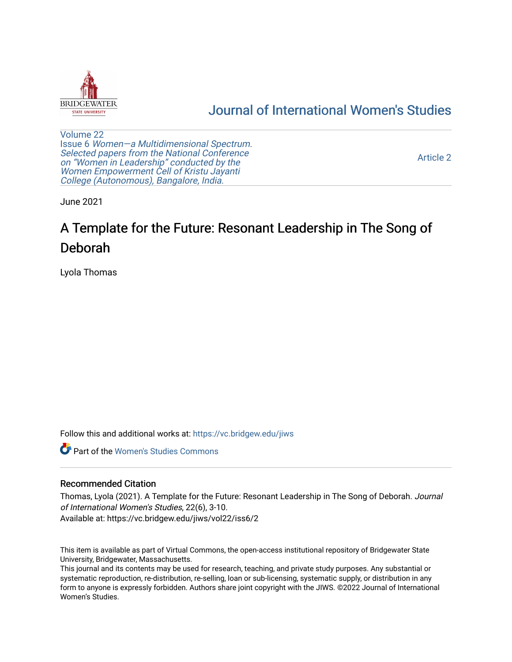

## [Journal of International Women's Studies](https://vc.bridgew.edu/jiws)

[Volume 22](https://vc.bridgew.edu/jiws/vol22) Issue 6 [Women—a Multidimensional Spectrum.](https://vc.bridgew.edu/jiws/vol22/iss6)  [Selected papers from the National Conference](https://vc.bridgew.edu/jiws/vol22/iss6) on ["Women in Leadership" conducted by the](https://vc.bridgew.edu/jiws/vol22/iss6) [Women Empowerment Cell of Kristu Jayanti](https://vc.bridgew.edu/jiws/vol22/iss6)  [College \(Autonomous\), Bangalore, India.](https://vc.bridgew.edu/jiws/vol22/iss6) 

[Article 2](https://vc.bridgew.edu/jiws/vol22/iss6/2) 

June 2021

# A Template for the Future: Resonant Leadership in The Song of Deborah

Lyola Thomas

Follow this and additional works at: [https://vc.bridgew.edu/jiws](https://vc.bridgew.edu/jiws?utm_source=vc.bridgew.edu%2Fjiws%2Fvol22%2Fiss6%2F2&utm_medium=PDF&utm_campaign=PDFCoverPages)

**C** Part of the Women's Studies Commons

#### Recommended Citation

Thomas, Lyola (2021). A Template for the Future: Resonant Leadership in The Song of Deborah. Journal of International Women's Studies, 22(6), 3-10. Available at: https://vc.bridgew.edu/jiws/vol22/iss6/2

This item is available as part of Virtual Commons, the open-access institutional repository of Bridgewater State University, Bridgewater, Massachusetts.

This journal and its contents may be used for research, teaching, and private study purposes. Any substantial or systematic reproduction, re-distribution, re-selling, loan or sub-licensing, systematic supply, or distribution in any form to anyone is expressly forbidden. Authors share joint copyright with the JIWS. ©2022 Journal of International Women's Studies.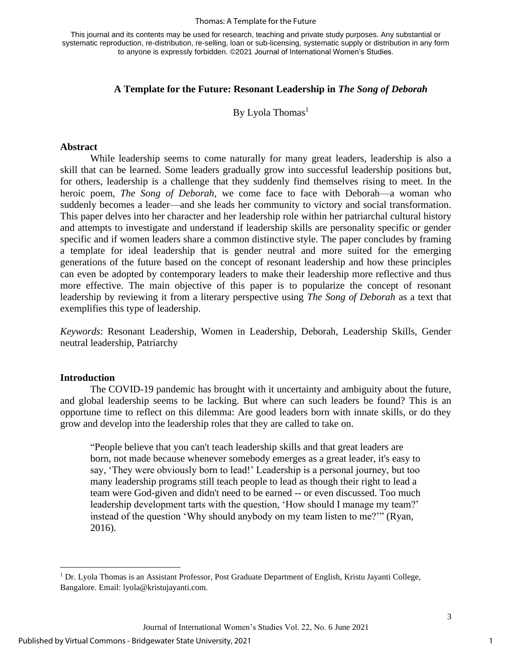#### Thomas: A Template for the Future

This journal and its contents may be used for research, teaching and private study purposes. Any substantial or systematic reproduction, re-distribution, re-selling, loan or sub-licensing, systematic supply or distribution in any form to anyone is expressly forbidden. ©2021 Journal of International Women's Studies.

#### **A Template for the Future: Resonant Leadership in** *The Song of Deborah*

By Lyola Thomas<sup>1</sup>

#### **Abstract**

While leadership seems to come naturally for many great leaders, leadership is also a skill that can be learned. Some leaders gradually grow into successful leadership positions but, for others, leadership is a challenge that they suddenly find themselves rising to meet. In the heroic poem, *The Song of Deborah,* we come face to face with Deborah—a woman who suddenly becomes a leader—and she leads her community to victory and social transformation. This paper delves into her character and her leadership role within her patriarchal cultural history and attempts to investigate and understand if leadership skills are personality specific or gender specific and if women leaders share a common distinctive style. The paper concludes by framing a template for ideal leadership that is gender neutral and more suited for the emerging generations of the future based on the concept of resonant leadership and how these principles can even be adopted by contemporary leaders to make their leadership more reflective and thus more effective. The main objective of this paper is to popularize the concept of resonant leadership by reviewing it from a literary perspective using *The Song of Deborah* as a text that exemplifies this type of leadership.

*Keywords*: Resonant Leadership, Women in Leadership, Deborah, Leadership Skills, Gender neutral leadership, Patriarchy

#### **Introduction**

The COVID-19 pandemic has brought with it uncertainty and ambiguity about the future, and global leadership seems to be lacking. But where can such leaders be found? This is an opportune time to reflect on this dilemma: Are good leaders born with innate skills, or do they grow and develop into the leadership roles that they are called to take on.

"People believe that you can't teach leadership skills and that great leaders are born, not made because whenever somebody emerges as a great leader, it's easy to say, 'They were obviously born to lead!' Leadership is a personal journey, but too many leadership programs still teach people to lead as though their right to lead a team were God-given and didn't need to be earned -- or even discussed. Too much leadership development tarts with the question, 'How should I manage my team?' instead of the question 'Why should anybody on my team listen to me?'" (Ryan, 2016).

<sup>1</sup> Dr. Lyola Thomas is an Assistant Professor, Post Graduate Department of English, Kristu Jayanti College, Bangalore. Email: lyola@kristujayanti.com.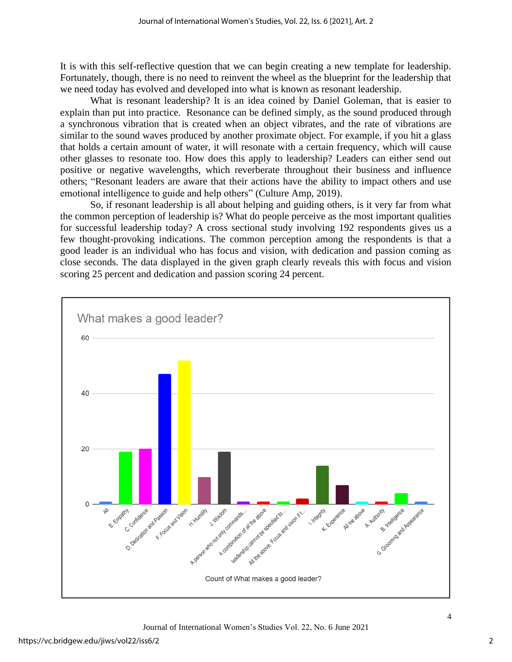It is with this self-reflective question that we can begin creating a new template for leadership. Fortunately, though, there is no need to reinvent the wheel as the blueprint for the leadership that we need today has evolved and developed into what is known as resonant leadership.

What is resonant leadership? It is an idea coined by Daniel Goleman, that is easier to explain than put into practice. Resonance can be defined simply, as the sound produced through a synchronous vibration that is created when an object vibrates, and the rate of vibrations are similar to the sound waves produced by another proximate object. For example, if you hit a glass that holds a certain amount of water, it will resonate with a certain frequency, which will cause other glasses to resonate too. How does this apply to leadership? Leaders can either send out positive or negative wavelengths, which reverberate throughout their business and influence others; "Resonant leaders are aware that their actions have the ability to impact others and use emotional intelligence to guide and help others" (Culture Amp, 2019).

So, if resonant leadership is all about helping and guiding others, is it very far from what the common perception of leadership is? What do people perceive as the most important qualities for successful leadership today? A cross sectional study involving 192 respondents gives us a few thought-provoking indications. The common perception among the respondents is that a good leader is an individual who has focus and vision, with dedication and passion coming as close seconds. The data displayed in the given graph clearly reveals this with focus and vision scoring 25 percent and dedication and passion scoring 24 percent.

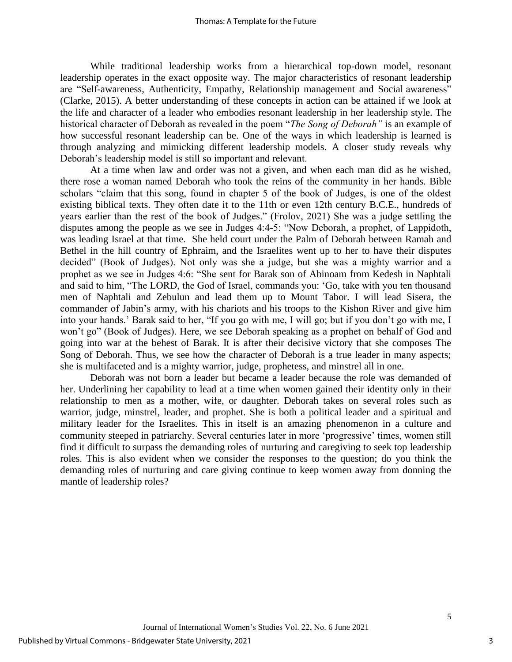While traditional leadership works from a hierarchical top-down model, resonant leadership operates in the exact opposite way. The major characteristics of resonant leadership are "Self-awareness, Authenticity, Empathy, Relationship management and Social awareness" (Clarke, 2015). A better understanding of these concepts in action can be attained if we look at the life and character of a leader who embodies resonant leadership in her leadership style. The historical character of Deborah as revealed in the poem "*The Song of Deborah"* is an example of how successful resonant leadership can be. One of the ways in which leadership is learned is through analyzing and mimicking different leadership models. A closer study reveals why Deborah's leadership model is still so important and relevant.

At a time when law and order was not a given, and when each man did as he wished, there rose a woman named Deborah who took the reins of the community in her hands. Bible scholars "claim that this song, found in chapter 5 of the book of Judges, is one of the oldest existing biblical texts. They often date it to the 11th or even 12th century B.C.E., hundreds of years earlier than the rest of the book of Judges." (Frolov, 2021) She was a judge settling the disputes among the people as we see in Judges 4:4-5: "Now Deborah, a prophet, of Lappidoth, was leading Israel at that time. She held court under the Palm of Deborah between Ramah and Bethel in the hill country of Ephraim, and the Israelites went up to her to have their disputes decided" (Book of Judges). Not only was she a judge, but she was a mighty warrior and a prophet as we see in Judges 4:6: "She sent for Barak son of Abinoam from Kedesh in Naphtali and said to him, "The LORD, the God of Israel, commands you: 'Go, take with you ten thousand men of Naphtali and Zebulun and lead them up to Mount Tabor. I will lead Sisera, the commander of Jabin's army, with his chariots and his troops to the Kishon River and give him into your hands.' Barak said to her, "If you go with me, I will go; but if you don't go with me, I won't go" (Book of Judges). Here, we see Deborah speaking as a prophet on behalf of God and going into war at the behest of Barak. It is after their decisive victory that she composes The Song of Deborah. Thus, we see how the character of Deborah is a true leader in many aspects; she is multifaceted and is a mighty warrior, judge, prophetess, and minstrel all in one.

Deborah was not born a leader but became a leader because the role was demanded of her. Underlining her capability to lead at a time when women gained their identity only in their relationship to men as a mother, wife, or daughter. Deborah takes on several roles such as warrior, judge, minstrel, leader, and prophet. She is both a political leader and a spiritual and military leader for the Israelites. This in itself is an amazing phenomenon in a culture and community steeped in patriarchy. Several centuries later in more 'progressive' times, women still find it difficult to surpass the demanding roles of nurturing and caregiving to seek top leadership roles. This is also evident when we consider the responses to the question; do you think the demanding roles of nurturing and care giving continue to keep women away from donning the mantle of leadership roles?

3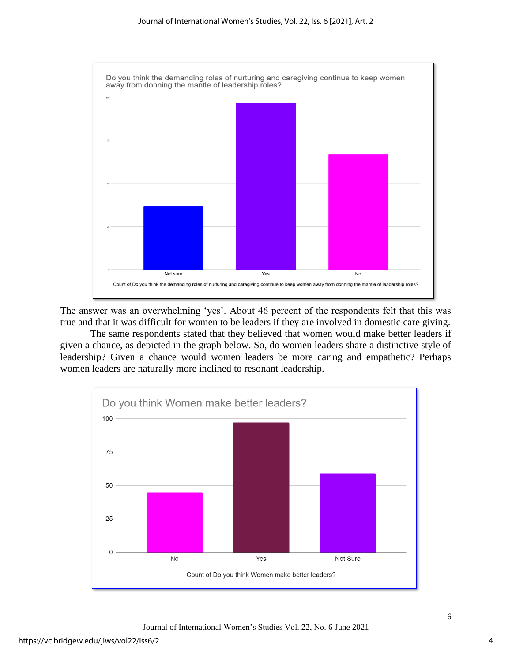

The answer was an overwhelming 'yes'. About 46 percent of the respondents felt that this was true and that it was difficult for women to be leaders if they are involved in domestic care giving.

The same respondents stated that they believed that women would make better leaders if given a chance, as depicted in the graph below. So, do women leaders share a distinctive style of leadership? Given a chance would women leaders be more caring and empathetic? Perhaps women leaders are naturally more inclined to resonant leadership.

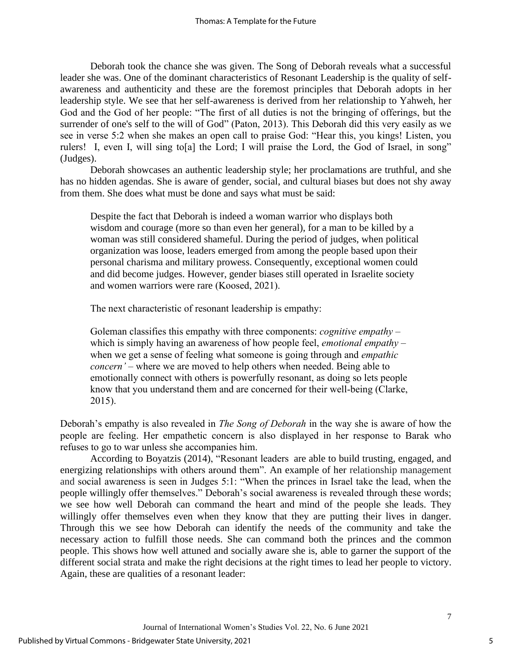Deborah took the chance she was given. The Song of Deborah reveals what a successful leader she was. One of the dominant characteristics of Resonant Leadership is the quality of selfawareness and authenticity and these are the foremost principles that Deborah adopts in her leadership style. We see that her self-awareness is derived from her relationship to Yahweh, her God and the God of her people: "The first of all duties is not the bringing of offerings, but the surrender of one's self to the will of God" (Paton, 2013). This Deborah did this very easily as we see in verse 5:2 when she makes an open call to praise God: "Hear this, you kings! Listen, you rulers! I, even I, will sing to[a] the Lord; I will praise the Lord, the God of Israel, in song" (Judges).

Deborah showcases an authentic leadership style; her proclamations are truthful, and she has no hidden agendas. She is aware of gender, social, and cultural biases but does not shy away from them. She does what must be done and says what must be said:

Despite the fact that Deborah is indeed a woman warrior who displays both wisdom and courage (more so than even her general), for a man to be killed by a woman was still considered shameful. During the period of judges, when political organization was loose, leaders emerged from among the people based upon their personal charisma and military prowess. Consequently, exceptional women could and did become judges. However, gender biases still operated in Israelite society and women warriors were rare (Koosed, 2021).

The next characteristic of resonant leadership is empathy:

Goleman classifies this empathy with three components: *cognitive empathy* – which is simply having an awareness of how people feel, *emotional empathy* – when we get a sense of feeling what someone is going through and *empathic concern'* – where we are moved to help others when needed. Being able to emotionally connect with others is powerfully resonant, as doing so lets people know that you understand them and are concerned for their well-being (Clarke, 2015).

Deborah's empathy is also revealed in *The Song of Deborah* in the way she is aware of how the people are feeling. Her empathetic concern is also displayed in her response to Barak who refuses to go to war unless she accompanies him.

According to Boyatzis (2014), "Resonant leaders are able to build trusting, engaged, and energizing relationships with others around them". An example of her relationship management and social awareness is seen in Judges 5:1: "When the princes in Israel take the lead, when the people willingly offer themselves." Deborah's social awareness is revealed through these words; we see how well Deborah can command the heart and mind of the people she leads. They willingly offer themselves even when they know that they are putting their lives in danger. Through this we see how Deborah can identify the needs of the community and take the necessary action to fulfill those needs. She can command both the princes and the common people. This shows how well attuned and socially aware she is, able to garner the support of the different social strata and make the right decisions at the right times to lead her people to victory. Again, these are qualities of a resonant leader: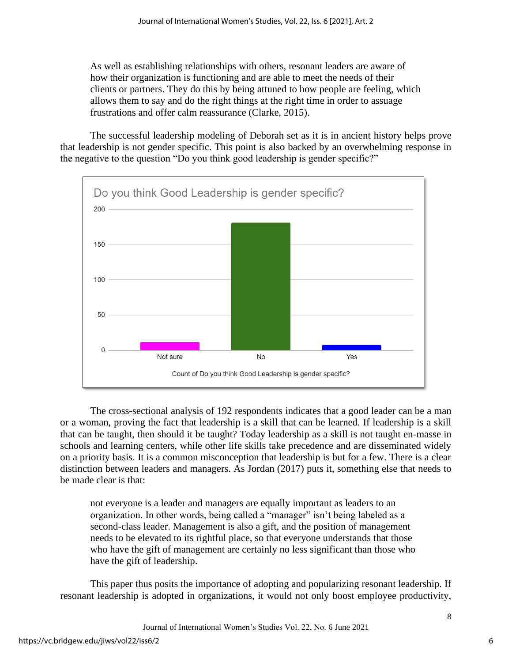As well as establishing relationships with others, resonant leaders are aware of how their organization is functioning and are able to meet the needs of their clients or partners. They do this by being attuned to how people are feeling, which allows them to say and do the right things at the right time in order to assuage frustrations and offer calm reassurance (Clarke, 2015).

The successful leadership modeling of Deborah set as it is in ancient history helps prove that leadership is not gender specific. This point is also backed by an overwhelming response in the negative to the question "Do you think good leadership is gender specific?"



The cross-sectional analysis of 192 respondents indicates that a good leader can be a man or a woman, proving the fact that leadership is a skill that can be learned. If leadership is a skill that can be taught, then should it be taught? Today leadership as a skill is not taught en-masse in schools and learning centers, while other life skills take precedence and are disseminated widely on a priority basis. It is a common misconception that leadership is but for a few. There is a clear distinction between leaders and managers. As Jordan (2017) puts it, something else that needs to be made clear is that:

not everyone is a leader and managers are equally important as leaders to an organization. In other words, being called a "manager" isn't being labeled as a second-class leader. Management is also a gift, and the position of management needs to be elevated to its rightful place, so that everyone understands that those who have the gift of management are certainly no less significant than those who have the gift of leadership.

This paper thus posits the importance of adopting and popularizing resonant leadership. If resonant leadership is adopted in organizations, it would not only boost employee productivity,

Journal of International Women's Studies Vol. 22, No. 6 June 2021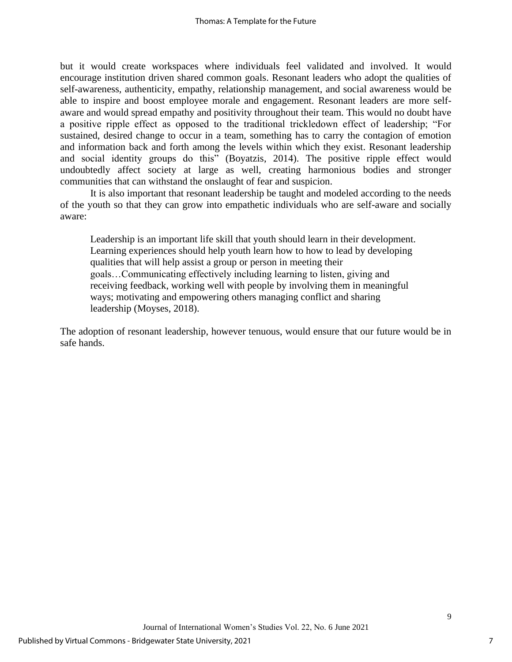but it would create workspaces where individuals feel validated and involved. It would encourage institution driven shared common goals. Resonant leaders who adopt the qualities of self-awareness, authenticity, empathy, relationship management, and social awareness would be able to inspire and boost employee morale and engagement. Resonant leaders are more selfaware and would spread empathy and positivity throughout their team. This would no doubt have a positive ripple effect as opposed to the traditional trickledown effect of leadership; "For sustained, desired change to occur in a team, something has to carry the contagion of emotion and information back and forth among the levels within which they exist. Resonant leadership and social identity groups do this" (Boyatzis, 2014). The positive ripple effect would undoubtedly affect society at large as well, creating harmonious bodies and stronger communities that can withstand the onslaught of fear and suspicion.

It is also important that resonant leadership be taught and modeled according to the needs of the youth so that they can grow into empathetic individuals who are self-aware and socially aware:

Leadership is an important life skill that youth should learn in their development. Learning experiences should help youth learn how to how to lead by developing qualities that will help assist a group or person in meeting their goals…Communicating effectively including learning to listen, giving and receiving feedback, working well with people by involving them in meaningful ways; motivating and empowering others managing conflict and sharing leadership (Moyses, 2018).

The adoption of resonant leadership, however tenuous, would ensure that our future would be in safe hands.